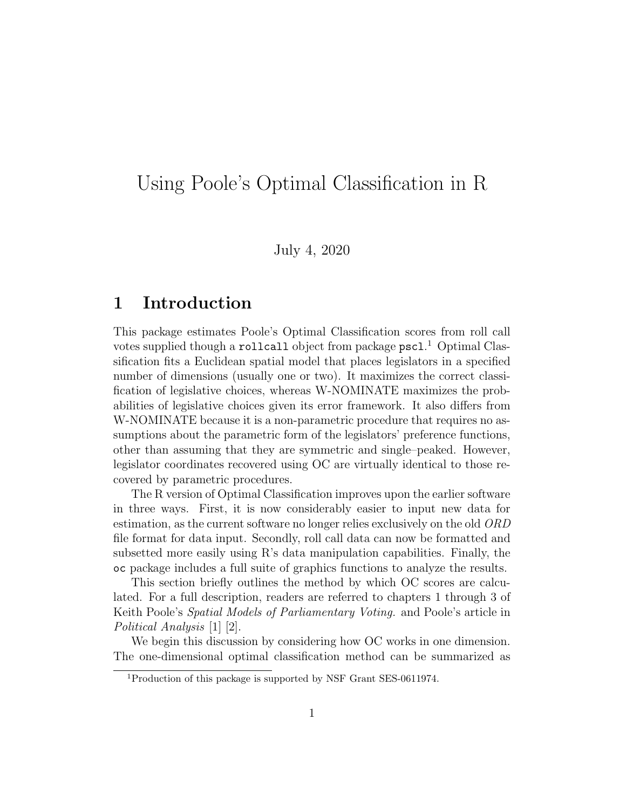# Using Poole's Optimal Classification in R

July 4, 2020

### 1 Introduction

This package estimates Poole's Optimal Classification scores from roll call votes supplied though a rollcall object from package pscl.<sup>1</sup> Optimal Classification fits a Euclidean spatial model that places legislators in a specified number of dimensions (usually one or two). It maximizes the correct classification of legislative choices, whereas W-NOMINATE maximizes the probabilities of legislative choices given its error framework. It also differs from W-NOMINATE because it is a non-parametric procedure that requires no assumptions about the parametric form of the legislators' preference functions, other than assuming that they are symmetric and single–peaked. However, legislator coordinates recovered using OC are virtually identical to those recovered by parametric procedures.

The R version of Optimal Classification improves upon the earlier software in three ways. First, it is now considerably easier to input new data for estimation, as the current software no longer relies exclusively on the old ORD file format for data input. Secondly, roll call data can now be formatted and subsetted more easily using R's data manipulation capabilities. Finally, the oc package includes a full suite of graphics functions to analyze the results.

This section briefly outlines the method by which OC scores are calculated. For a full description, readers are referred to chapters 1 through 3 of Keith Poole's Spatial Models of Parliamentary Voting. and Poole's article in Political Analysis [1] [2].

We begin this discussion by considering how OC works in one dimension. The one-dimensional optimal classification method can be summarized as

<sup>1</sup>Production of this package is supported by NSF Grant SES-0611974.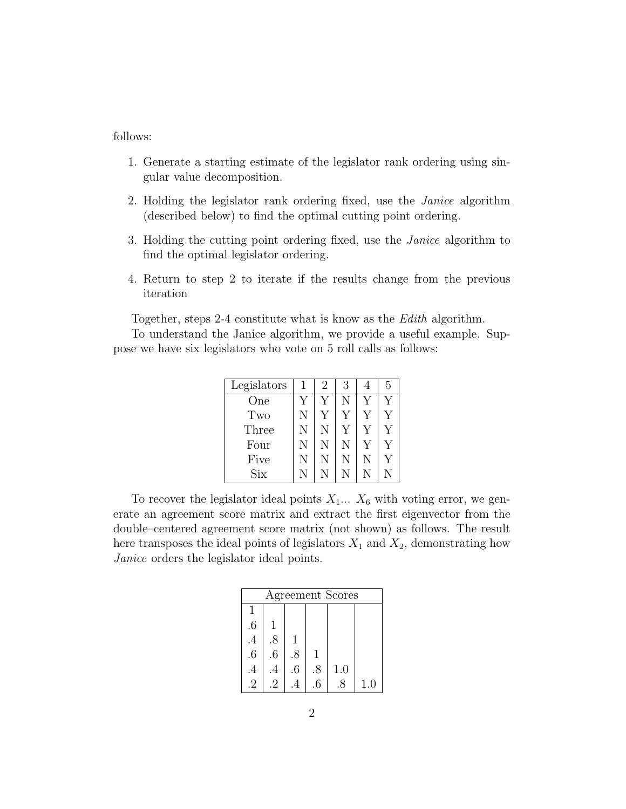follows:

- 1. Generate a starting estimate of the legislator rank ordering using singular value decomposition.
- 2. Holding the legislator rank ordering fixed, use the Janice algorithm (described below) to find the optimal cutting point ordering.
- 3. Holding the cutting point ordering fixed, use the Janice algorithm to find the optimal legislator ordering.
- 4. Return to step 2 to iterate if the results change from the previous iteration

Together, steps 2-4 constitute what is know as the Edith algorithm.

To understand the Janice algorithm, we provide a useful example. Suppose we have six legislators who vote on 5 roll calls as follows:

| Legislators             |   | 2 | 3 |   | 5 |
|-------------------------|---|---|---|---|---|
| One                     |   |   |   |   |   |
| Two                     | N |   |   |   |   |
| Three                   | N | N |   |   |   |
| Four                    | N | N | N |   |   |
| Five                    | N | N | N | N |   |
| $\mathrm{Si}\mathrm{x}$ | N |   |   |   |   |

To recover the legislator ideal points  $X_1... X_6$  with voting error, we generate an agreement score matrix and extract the first eigenvector from the double–centered agreement score matrix (not shown) as follows. The result here transposes the ideal points of legislators  $X_1$  and  $X_2$ , demonstrating how Janice orders the legislator ideal points.

| Agreement Scores |        |                 |     |     |     |  |
|------------------|--------|-----------------|-----|-----|-----|--|
|                  |        |                 |     |     |     |  |
| $.6\phantom{0}$  |        |                 |     |     |     |  |
| $\overline{.4}$  | .8     |                 |     |     |     |  |
| $\ddot{o}$       | $.6\,$ | .8              |     |     |     |  |
| .4               | .4     | $.6\phantom{0}$ | .8  | 1.0 |     |  |
| $\mathcal{D}$    | .2     |                 | 6.6 | 8   | 1.0 |  |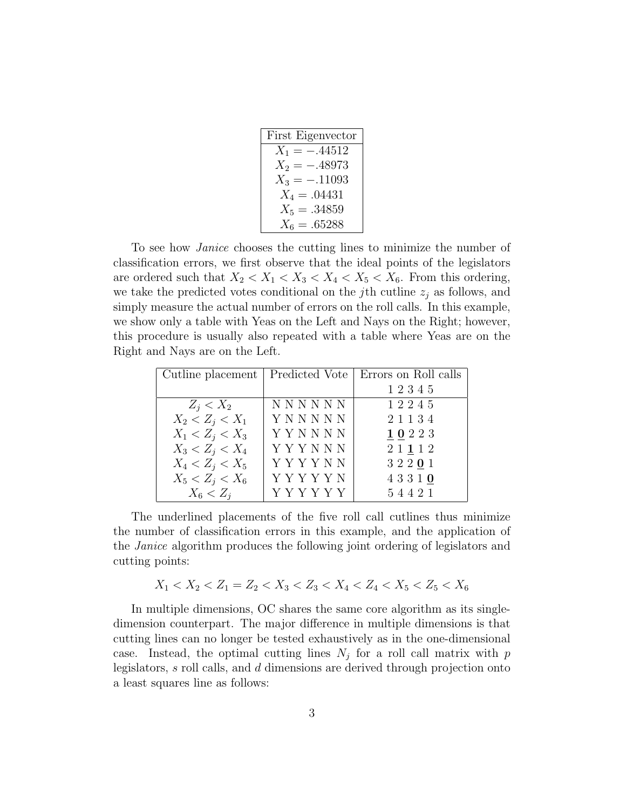| First Eigenvector |
|-------------------|
| $X_1 = -.44512$   |
| $X_2 = -.48973$   |
| $X_3 = -.11093$   |
| $X_4 = .04431$    |
| $X_5 = .34859$    |
| $X_6 = .65288$    |

To see how Janice chooses the cutting lines to minimize the number of classification errors, we first observe that the ideal points of the legislators are ordered such that  $X_2 < X_1 < X_3 < X_4 < X_5 < X_6$ . From this ordering, we take the predicted votes conditional on the j<sup>th</sup> cutline  $z_i$  as follows, and simply measure the actual number of errors on the roll calls. In this example, we show only a table with Yeas on the Left and Nays on the Right; however, this procedure is usually also repeated with a table where Yeas are on the Right and Nays are on the Left.

| Cutline placement   Predicted Vote |             | Errors on Roll calls |
|------------------------------------|-------------|----------------------|
|                                    |             | 12345                |
| $Z_i < X_2$                        | NNNNNN      | 12245                |
| $X_2 < Z_j < X_1$                  | YNNNNN      | 21134                |
| $X_1 < Z_j < X_3$                  | YYNNNN      | 10223                |
| $X_3 < Z_i < X_4$                  | YYYNNN      | 2 1 1 1 2            |
| $X_4 < Z_i < X_5$                  | YYYYNN      | 32201                |
| $X_5 < Z_j < X_6$                  | Y Y Y Y Y N | 43310                |
| $X_6 < Z_i$                        | Y Y Y Y Y Y | 54421                |

The underlined placements of the five roll call cutlines thus minimize the number of classification errors in this example, and the application of the Janice algorithm produces the following joint ordering of legislators and cutting points:

$$
X_1 < X_2 < Z_1 = Z_2 < X_3 < Z_3 < X_4 < Z_4 < X_5 < Z_5 < X_6
$$

In multiple dimensions, OC shares the same core algorithm as its singledimension counterpart. The major difference in multiple dimensions is that cutting lines can no longer be tested exhaustively as in the one-dimensional case. Instead, the optimal cutting lines  $N_j$  for a roll call matrix with p legislators, s roll calls, and d dimensions are derived through projection onto a least squares line as follows: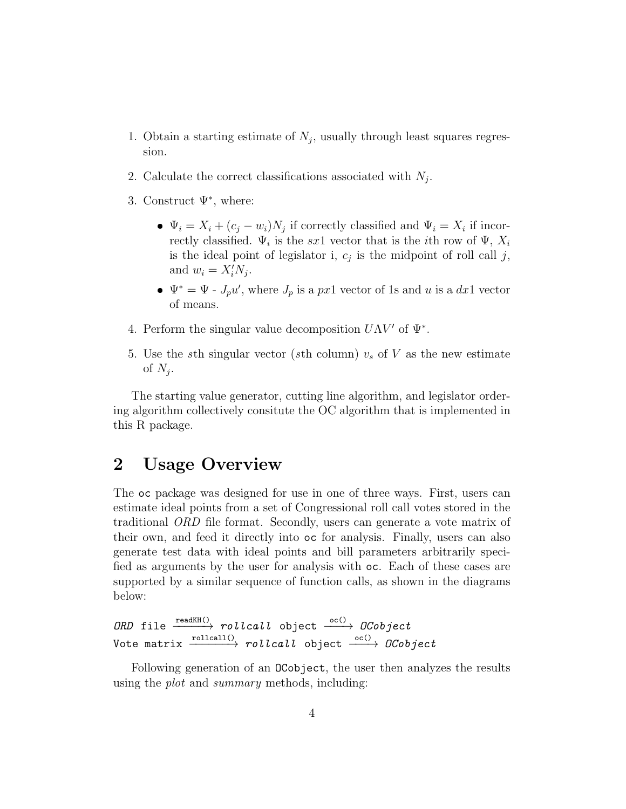- 1. Obtain a starting estimate of  $N_j$ , usually through least squares regression.
- 2. Calculate the correct classifications associated with  $N_j$ .
- 3. Construct  $\Psi^*$ , where:
	- $\Psi_i = X_i + (c_j w_i)N_j$  if correctly classified and  $\Psi_i = X_i$  if incorrectly classified.  $\Psi_i$  is the sx1 vector that is the *i*<sup>th</sup> row of  $\Psi$ ,  $X_i$ is the ideal point of legislator i,  $c_j$  is the midpoint of roll call j, and  $w_i = X_i' N_j$ .
	- $\Psi^* = \Psi$   $J_p u'$ , where  $J_p$  is a px1 vector of 1s and u is a dx1 vector of means.
- 4. Perform the singular value decomposition  $U\Lambda V'$  of  $\Psi^*$ .
- 5. Use the sth singular vector (sth column)  $v_s$  of V as the new estimate of  $N_j$ .

The starting value generator, cutting line algorithm, and legislator ordering algorithm collectively consitute the OC algorithm that is implemented in this R package.

### 2 Usage Overview

The oc package was designed for use in one of three ways. First, users can estimate ideal points from a set of Congressional roll call votes stored in the traditional ORD file format. Secondly, users can generate a vote matrix of their own, and feed it directly into oc for analysis. Finally, users can also generate test data with ideal points and bill parameters arbitrarily specified as arguments by the user for analysis with oc. Each of these cases are supported by a similar sequence of function calls, as shown in the diagrams below:

```
ORD file \xrightarrow{\text{readKH}(\cdot)} rollcall object \xrightarrow{\text{o}c(\cdot)} DCobject
Vote matrix \xrightarrow{\text{rollcall()}} \text{rollcall} object \xrightarrow{\text{oc()}} \text{0Cobject}
```
Following generation of an OCobject, the user then analyzes the results using the plot and summary methods, including: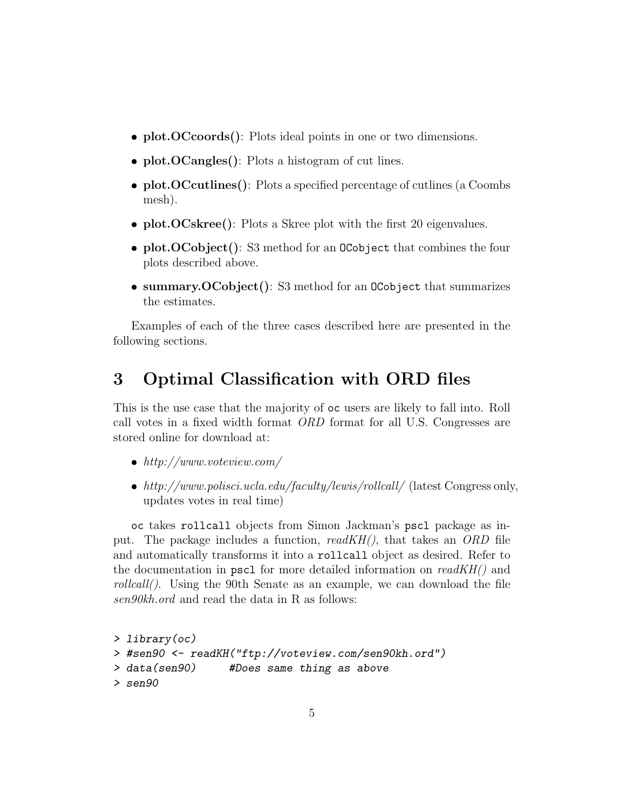- plot.OCcoords(): Plots ideal points in one or two dimensions.
- plot.OCangles(): Plots a histogram of cut lines.
- plot.OCcutlines(): Plots a specified percentage of cutlines (a Coombs mesh).
- plot.OCskree(): Plots a Skree plot with the first 20 eigenvalues.
- $\bullet$  plot.OCobject(): S3 method for an 0Cobject that combines the four plots described above.
- summary.OCobject(): S3 method for an OCobject that summarizes the estimates.

Examples of each of the three cases described here are presented in the following sections.

## 3 Optimal Classification with ORD files

This is the use case that the majority of oc users are likely to fall into. Roll call votes in a fixed width format ORD format for all U.S. Congresses are stored online for download at:

- $\bullet$  http://www.voteview.com/
- http://www.polisci.ucla.edu/faculty/lewis/rollcall/ (latest Congress only, updates votes in real time)

oc takes rollcall objects from Simon Jackman's pscl package as input. The package includes a function,  $readKH()$ , that takes an ORD file and automatically transforms it into a rollcall object as desired. Refer to the documentation in pscl for more detailed information on  $readKH()$  and rollcall(). Using the 90th Senate as an example, we can download the file sen90kh.ord and read the data in R as follows:

```
> library(oc)
> #sen90 <- readKH("ftp://voteview.com/sen90kh.ord")
> data(sen90) #Does same thing as above
> sen90
```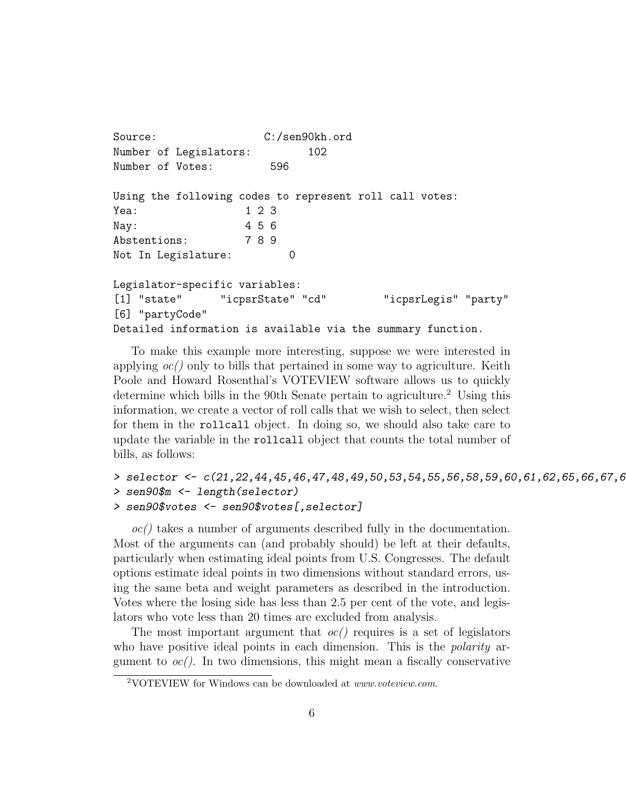```
Source: C:/sen90kh.ord
Number of Legislators: 102
Number of Votes: 596
Using the following codes to represent roll call votes:
Yea: 1 2 3
Nay: 4 5 6
Abstentions: 7 8 9
Not In Legislature: 0
Legislator-specific variables:
[1] "state" "icpsrState" "cd" "icpsrLegis" "party"
[6] "partyCode"
Detailed information is available via the summary function.
```
To make this example more interesting, suppose we were interested in applying  $oc()$  only to bills that pertained in some way to agriculture. Keith Poole and Howard Rosenthal's VOTEVIEW software allows us to quickly determine which bills in the 90th Senate pertain to agriculture.<sup>2</sup> Using this information, we create a vector of roll calls that we wish to select, then select for them in the rollcall object. In doing so, we should also take care to update the variable in the rollcall object that counts the total number of bills, as follows:

```
> selector <- c(21,22,44,45,46,47,48,49,50,53,54,55,56,58,59,60,61,62,65,66,67,6
> sen90$m <- length(selector)
> sen90$votes <- sen90$votes[,selector]
```
 $oc()$  takes a number of arguments described fully in the documentation. Most of the arguments can (and probably should) be left at their defaults, particularly when estimating ideal points from U.S. Congresses. The default options estimate ideal points in two dimensions without standard errors, using the same beta and weight parameters as described in the introduction. Votes where the losing side has less than 2.5 per cent of the vote, and legislators who vote less than 20 times are excluded from analysis.

The most important argument that  $oc()$  requires is a set of legislators who have positive ideal points in each dimension. This is the *polarity* argument to  $oc()$ . In two dimensions, this might mean a fiscally conservative

<sup>&</sup>lt;sup>2</sup>VOTEVIEW for Windows can be downloaded at *www.voteview.com.*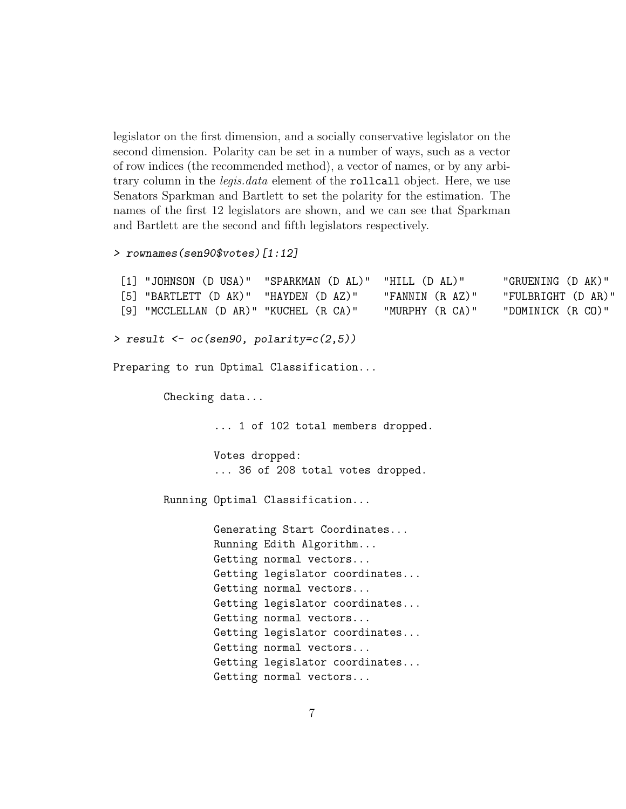legislator on the first dimension, and a socially conservative legislator on the second dimension. Polarity can be set in a number of ways, such as a vector of row indices (the recommended method), a vector of names, or by any arbitrary column in the *legis.data* element of the rollcall object. Here, we use Senators Sparkman and Bartlett to set the polarity for the estimation. The names of the first 12 legislators are shown, and we can see that Sparkman and Bartlett are the second and fifth legislators respectively.

```
> rownames(sen90$votes)[1:12]
```

```
[1] "JOHNSON (D USA)" "SPARKMAN (D AL)" "HILL (D AL)" "GRUENING (D AK)"
 [5] "BARTLETT (D AK)" "HAYDEN (D AZ)" "FANNIN (R AZ)" "FULBRIGHT (D AR)"
 [9] "MCCLELLAN (D AR)" "KUCHEL (R CA)" "MURPHY (R CA)" "DOMINICK (R CO)"
> result \leq oc(sen90, polarity=c(2,5))
Preparing to run Optimal Classification...
        Checking data...
                ... 1 of 102 total members dropped.
               Votes dropped:
                ... 36 of 208 total votes dropped.
       Running Optimal Classification...
               Generating Start Coordinates...
               Running Edith Algorithm...
                Getting normal vectors...
                Getting legislator coordinates...
               Getting normal vectors...
                Getting legislator coordinates...
                Getting normal vectors...
               Getting legislator coordinates...
               Getting normal vectors...
                Getting legislator coordinates...
                Getting normal vectors...
```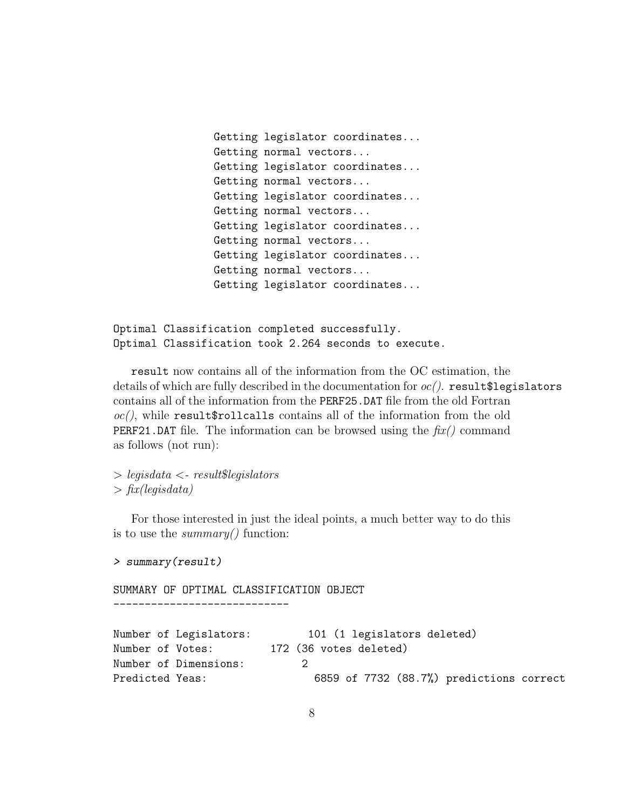```
Getting legislator coordinates...
Getting normal vectors...
Getting legislator coordinates...
Getting normal vectors...
Getting legislator coordinates...
Getting normal vectors...
Getting legislator coordinates...
Getting normal vectors...
Getting legislator coordinates...
Getting normal vectors...
Getting legislator coordinates...
```
Optimal Classification completed successfully. Optimal Classification took 2.264 seconds to execute.

result now contains all of the information from the OC estimation, the details of which are fully described in the documentation for  $oc/$ . result \$legislators contains all of the information from the PERF25.DAT file from the old Fortran  $oc()$ , while result\$rollcalls contains all of the information from the old **PERF21.DAT** file. The information can be browsed using the  $\hat{f}(\mathbf{x})$  command as follows (not run):

 $\geq$  legisdata  $\lt$ - result\$legislators  $\frac{1}{\pi}$  fix(legisdata)

For those interested in just the ideal points, a much better way to do this is to use the *summary*() function:

```
> summary(result)
```
SUMMARY OF OPTIMAL CLASSIFICATION OBJECT ----------------------------

```
Number of Legislators: 101 (1 legislators deleted)
Number of Votes: 172 (36 votes deleted)
Number of Dimensions: 2
Predicted Yeas: 6859 of 7732 (88.7%) predictions correct
```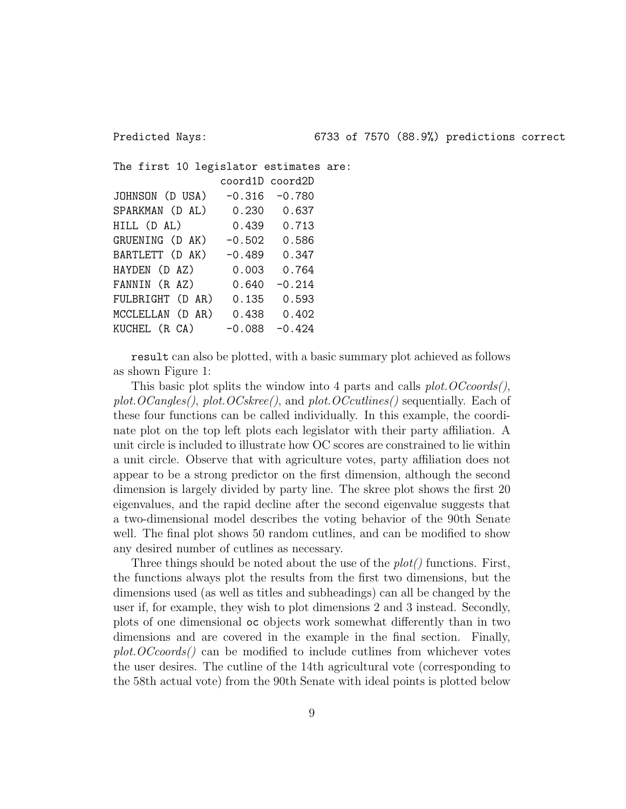The first 10 legislator estimates are: coord1D coord2D JOHNSON (D USA) -0.316 -0.780 SPARKMAN (D AL) 0.230 0.637 HILL (D AL) 0.439 0.713 GRUENING (D AK) -0.502 0.586 BARTLETT (D AK) -0.489 0.347 HAYDEN (D AZ) 0.003 0.764 FANNIN (R AZ) 0.640 -0.214 FULBRIGHT (D AR) 0.135 0.593 MCCLELLAN (D AR) 0.438 0.402 KUCHEL  $(R CA)$  -0.088 -0.424

result can also be plotted, with a basic summary plot achieved as follows as shown Figure 1:

This basic plot splits the window into 4 parts and calls plot. OCcoords(), plot.  $OCangles()$ , plot.  $OCskree()$ , and plot.  $OCcutlines()$  sequentially. Each of these four functions can be called individually. In this example, the coordinate plot on the top left plots each legislator with their party affiliation. A unit circle is included to illustrate how OC scores are constrained to lie within a unit circle. Observe that with agriculture votes, party affiliation does not appear to be a strong predictor on the first dimension, although the second dimension is largely divided by party line. The skree plot shows the first 20 eigenvalues, and the rapid decline after the second eigenvalue suggests that a two-dimensional model describes the voting behavior of the 90th Senate well. The final plot shows 50 random cutlines, and can be modified to show any desired number of cutlines as necessary.

Three things should be noted about the use of the  $plot()$  functions. First, the functions always plot the results from the first two dimensions, but the dimensions used (as well as titles and subheadings) can all be changed by the user if, for example, they wish to plot dimensions 2 and 3 instead. Secondly, plots of one dimensional oc objects work somewhat differently than in two dimensions and are covered in the example in the final section. Finally, plot.OCcoords() can be modified to include cutlines from whichever votes the user desires. The cutline of the 14th agricultural vote (corresponding to the 58th actual vote) from the 90th Senate with ideal points is plotted below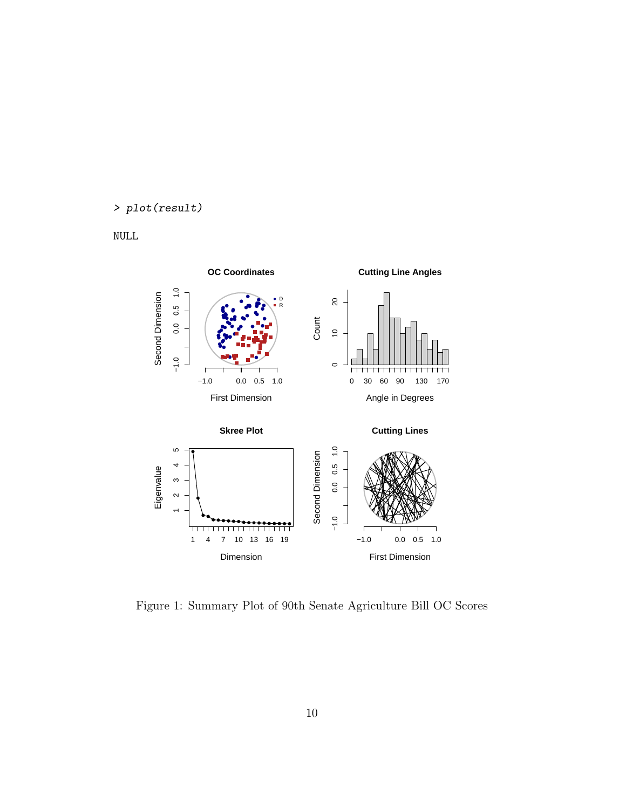#### > plot(result)

NULL



Figure 1: Summary Plot of 90th Senate Agriculture Bill OC Scores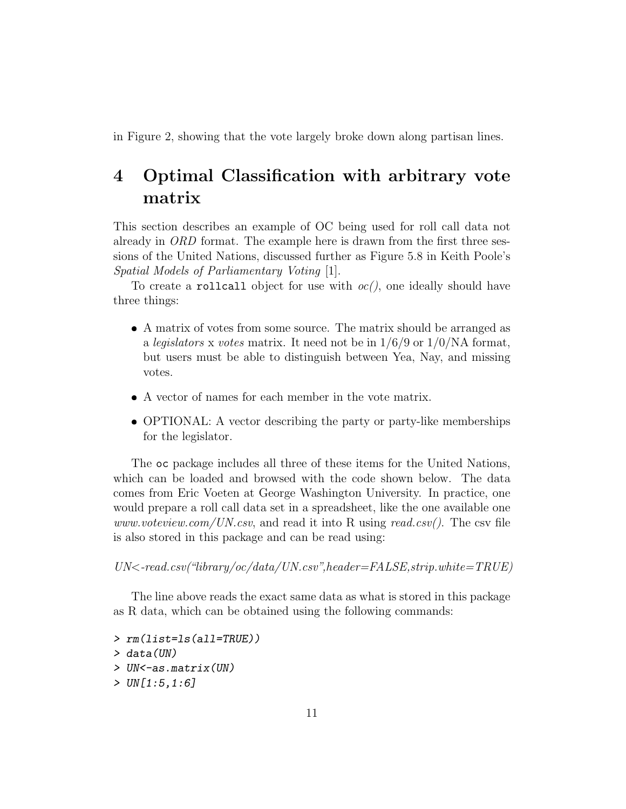in Figure 2, showing that the vote largely broke down along partisan lines.

## 4 Optimal Classification with arbitrary vote matrix

This section describes an example of OC being used for roll call data not already in ORD format. The example here is drawn from the first three sessions of the United Nations, discussed further as Figure 5.8 in Keith Poole's Spatial Models of Parliamentary Voting [1].

To create a rollcall object for use with  $oc/$ , one ideally should have three things:

- A matrix of votes from some source. The matrix should be arranged as a legislators x votes matrix. It need not be in  $1/6/9$  or  $1/0/NA$  format, but users must be able to distinguish between Yea, Nay, and missing votes.
- A vector of names for each member in the vote matrix.
- OPTIONAL: A vector describing the party or party-like memberships for the legislator.

The oc package includes all three of these items for the United Nations, which can be loaded and browsed with the code shown below. The data comes from Eric Voeten at George Washington University. In practice, one would prepare a roll call data set in a spreadsheet, like the one available one www.voteview.com/UN.csv, and read it into R using read.csv(). The csv file is also stored in this package and can be read using:

 $UN < -read.csv("library/oc/data/UN.csv", header = FALSE, strip. white = TRUE)$ 

The line above reads the exact same data as what is stored in this package as R data, which can be obtained using the following commands:

> rm(list=ls(all=TRUE)) > data(UN) > UN<-as.matrix(UN) > UN[1:5,1:6]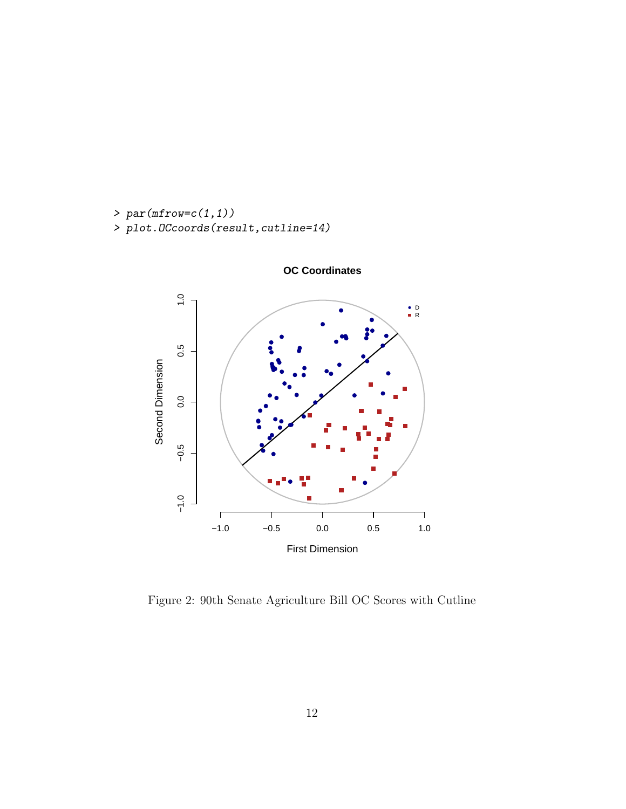```
> par(mfrow=c(1,1))> plot.OCcoords(result,cutline=14)
```


**OC Coordinates**

Figure 2: 90th Senate Agriculture Bill OC Scores with Cutline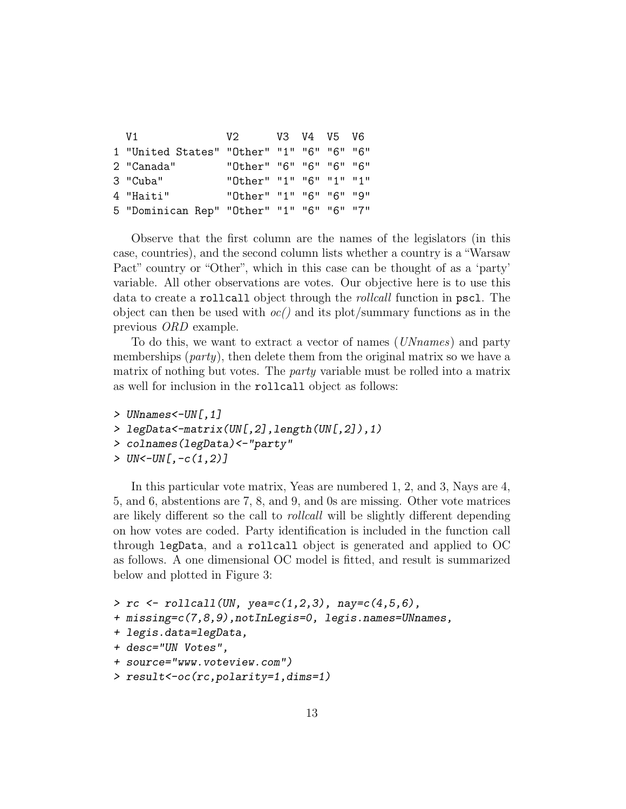| V 1                                       | V2.                     |  | V3 V4 V5 V6 |  |
|-------------------------------------------|-------------------------|--|-------------|--|
| 1 "United States" "Other" "1" "6" "6" "6" |                         |  |             |  |
| 2 "Canada"                                | "Other" "6" "6" "6" "6" |  |             |  |
| 3 "Cuba"                                  | "Other" "1" "6" "1" "1" |  |             |  |
| 4 "Haiti"                                 | "Other" "1" "6" "6" "9" |  |             |  |
| 5 "Dominican Rep" "Other" "1" "6" "6" "7" |                         |  |             |  |

Observe that the first column are the names of the legislators (in this case, countries), and the second column lists whether a country is a "Warsaw Pact" country or "Other", which in this case can be thought of as a 'party' variable. All other observations are votes. Our objective here is to use this data to create a rollcall object through the *rollcall* function in pscl. The object can then be used with  $oc()$  and its plot/summary functions as in the previous ORD example.

To do this, we want to extract a vector of names (UNnames) and party memberships (*party*), then delete them from the original matrix so we have a matrix of nothing but votes. The party variable must be rolled into a matrix as well for inclusion in the rollcall object as follows:

```
> UNnames<-UN[,1]
> legData<-matrix(UN[,2],length(UN[,2]),1)
> colnames(legData)<-"party"
> UN < -UN[, -c(1, 2)]
```
In this particular vote matrix, Yeas are numbered 1, 2, and 3, Nays are 4, 5, and 6, abstentions are 7, 8, and 9, and 0s are missing. Other vote matrices are likely different so the call to rollcall will be slightly different depending on how votes are coded. Party identification is included in the function call through legData, and a rollcall object is generated and applied to OC as follows. A one dimensional OC model is fitted, and result is summarized below and plotted in Figure 3:

```
> rc \leftarrow rollcall(UN, yea=c(1,2,3), nay=c(4,5,6),
+ missing=c(7,8,9),notInLegis=0, legis.names=UNnames,
+ legis.data=legData,
+ desc="UN Votes",
+ source="www.voteview.com")
> result<-oc(rc,polarity=1,dims=1)
```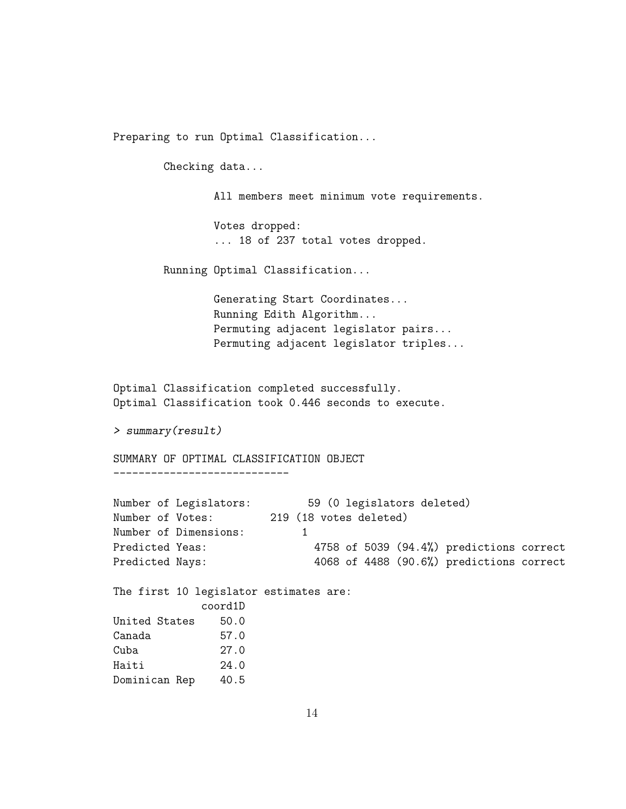Preparing to run Optimal Classification...

Checking data...

All members meet minimum vote requirements.

Votes dropped: ... 18 of 237 total votes dropped.

Running Optimal Classification...

Generating Start Coordinates... Running Edith Algorithm... Permuting adjacent legislator pairs... Permuting adjacent legislator triples...

```
Optimal Classification completed successfully.
Optimal Classification took 0.446 seconds to execute.
```

```
> summary(result)
```
SUMMARY OF OPTIMAL CLASSIFICATION OBJECT

----------------------------

|                  | Number of Legislators:                            |   |  |                        | 59 (0 legislators deleted) |                                          |  |
|------------------|---------------------------------------------------|---|--|------------------------|----------------------------|------------------------------------------|--|
| Number of Votes: |                                                   |   |  | 219 (18 votes deleted) |                            |                                          |  |
|                  | Number of Dimensions:                             | 1 |  |                        |                            |                                          |  |
| Predicted Yeas:  |                                                   |   |  |                        |                            | 4758 of 5039 (94.4%) predictions correct |  |
| Predicted Nays:  |                                                   |   |  |                        |                            | 4068 of 4488 (90.6%) predictions correct |  |
|                  | The first 10 legislator estimates are:<br>coord1D |   |  |                        |                            |                                          |  |
| United States    | 50.0                                              |   |  |                        |                            |                                          |  |
| Canada           | 57.0                                              |   |  |                        |                            |                                          |  |
| Cuba             | 27.0                                              |   |  |                        |                            |                                          |  |
| Haiti            | 24.0                                              |   |  |                        |                            |                                          |  |
| Dominican Rep    | 40.5                                              |   |  |                        |                            |                                          |  |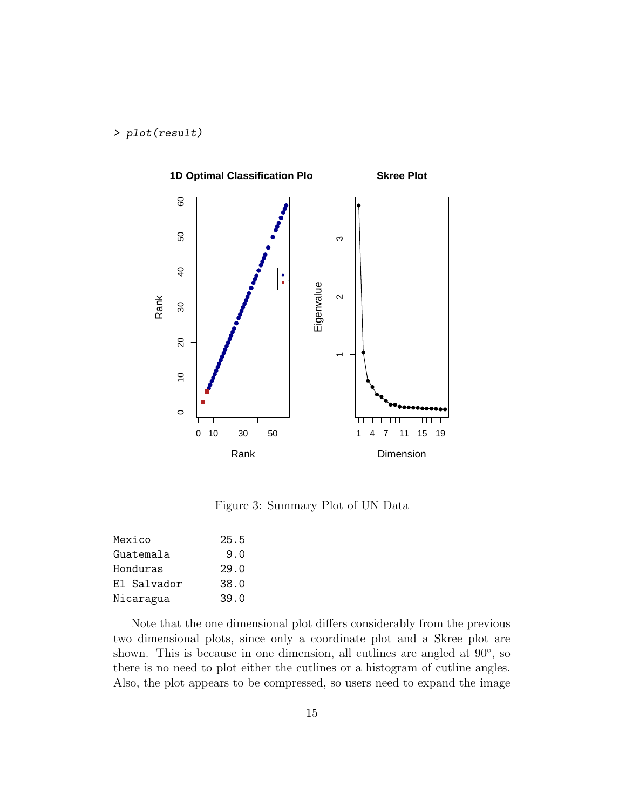#### > plot(result)



Figure 3: Summary Plot of UN Data

| Mexico      | 25.5 |
|-------------|------|
| Guatemala   | 9.0  |
| Honduras    | 29.0 |
| El Salvador | 38.0 |
| Nicaragua   | 39.0 |

Note that the one dimensional plot differs considerably from the previous two dimensional plots, since only a coordinate plot and a Skree plot are shown. This is because in one dimension, all cutlines are angled at 90<sup>°</sup>, so there is no need to plot either the cutlines or a histogram of cutline angles. Also, the plot appears to be compressed, so users need to expand the image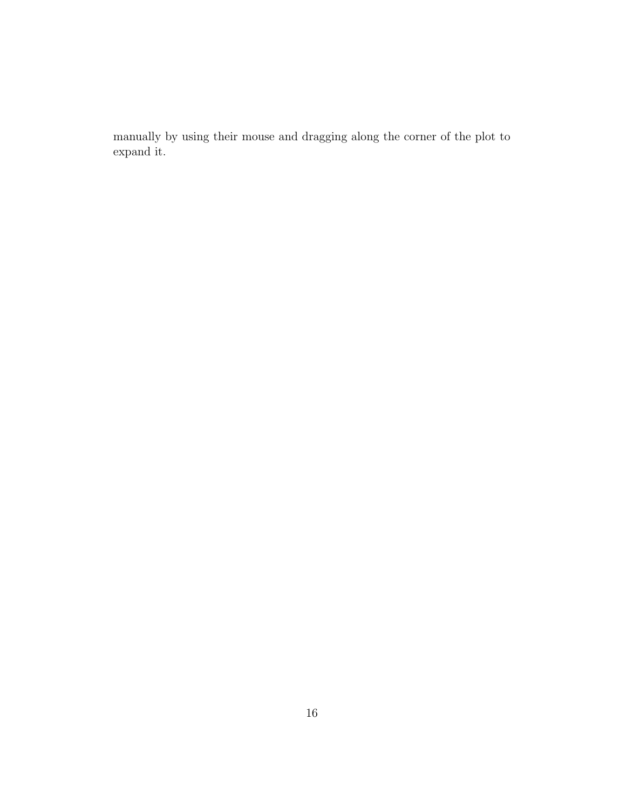manually by using their mouse and dragging along the corner of the plot to expand it.